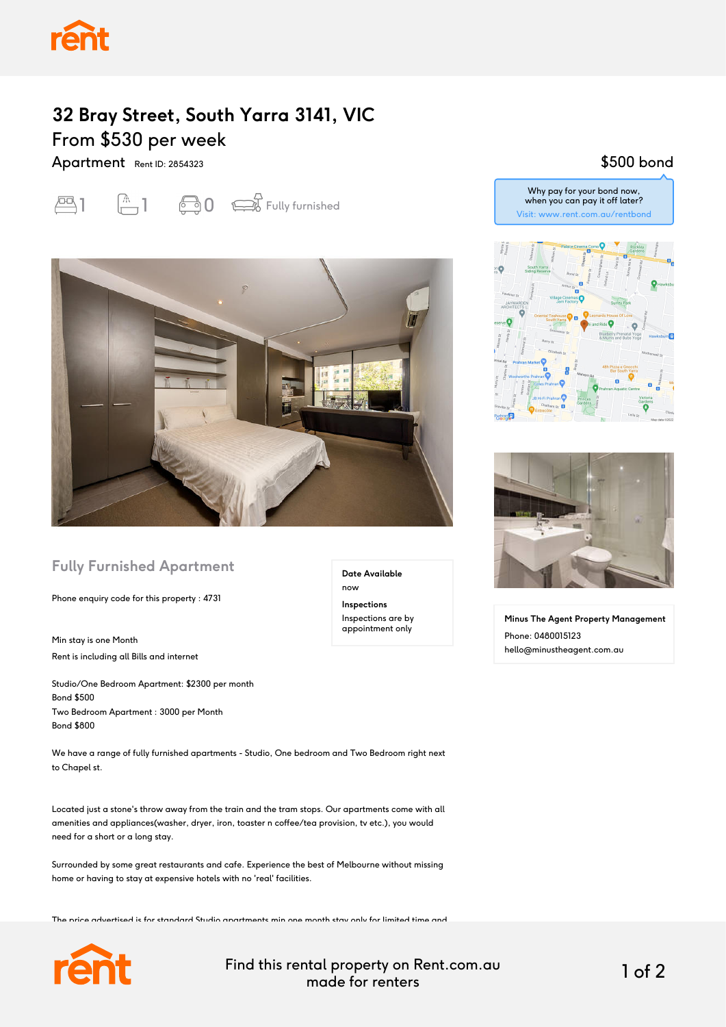## **32 Bray Street, South Yarra 3141, VIC** From \$530 per week

Apartment Rent ID: 2854323





### **Fully Furnished Apartment**

Phone enquiry code for this property : 4731

Min stay is one Month Rent is including all Bills and internet

Studio/One Bedroom Apartment: \$2300 per month Bond \$500 Two Bedroom Apartment : 3000 per Month Bond \$800

We have a range of fully furnished apartments - Studio, One bedroom and Two Bedroom right next to Chapel st.

Located just a stone's throw away from the train and the tram stops. Our apartments come with all amenities and appliances(washer, dryer, iron, toaster n coffee/tea provision, tv etc.), you would need for a short or a long stay.

Surrounded by some great restaurants and cafe. Experience the best of Melbourne without missing home or having to stay at expensive hotels with no 'real' facilities.

The price advertised is for standard Studio apartments min one month stay only for limited time and



Find this rental property on Rent.com.au made for renters 1 of 2

**Date Available**

now **Inspections** Inspections are by appointment only

#### \$500 bond

Why pay for your bond now, when you can pay it off later? Visit: www.rent.com.au/rentbond





**Minus The Agent Property Management** Phone: 0480015123 hello@minustheagent.com.au